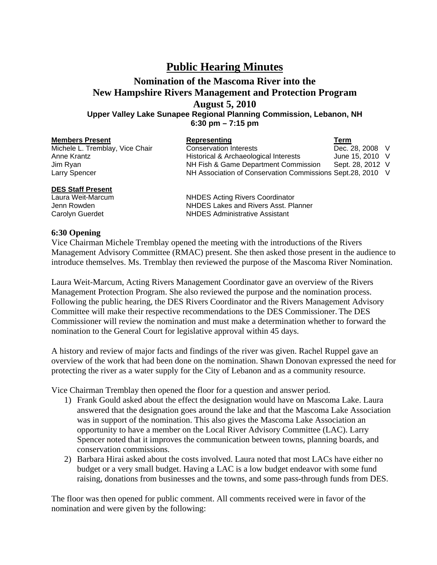## **Public Hearing Minutes**

## **Nomination of the Mascoma River into the New Hampshire Rivers Management and Protection Program August 5, 2010 Upper Valley Lake Sunapee Regional Planning Commission, Lebanon, NH**

**6:30 pm – 7:15 pm** 

| <b>Members Present</b>          | Representing                                               | Term             |  |
|---------------------------------|------------------------------------------------------------|------------------|--|
| Michele L. Tremblay, Vice Chair | <b>Conservation Interests</b>                              | Dec. 28, 2008 V  |  |
| Anne Krantz                     | Historical & Archaeological Interests                      | June 15, 2010 V  |  |
| Jim Ryan                        | NH Fish & Game Department Commission                       | Sept. 28, 2012 V |  |
| Larry Spencer                   | NH Association of Conservation Commissions Sept.28, 2010 V |                  |  |
| <b>DES Staff Present</b>        |                                                            |                  |  |

Laura Weit-Marcum NHDES Acting Rivers Coordinator Jenn Rowden NHDES Lakes and Rivers Asst. Planner Carolyn Guerdet NHDES Administrative Assistant

## **6:30 Opening**

Vice Chairman Michele Tremblay opened the meeting with the introductions of the Rivers Management Advisory Committee (RMAC) present. She then asked those present in the audience to introduce themselves. Ms. Tremblay then reviewed the purpose of the Mascoma River Nomination.

Laura Weit-Marcum, Acting Rivers Management Coordinator gave an overview of the Rivers Management Protection Program. She also reviewed the purpose and the nomination process. Following the public hearing, the DES Rivers Coordinator and the Rivers Management Advisory Committee will make their respective recommendations to the DES Commissioner. The DES Commissioner will review the nomination and must make a determination whether to forward the nomination to the General Court for legislative approval within 45 days.

A history and review of major facts and findings of the river was given. Rachel Ruppel gave an overview of the work that had been done on the nomination. Shawn Donovan expressed the need for protecting the river as a water supply for the City of Lebanon and as a community resource.

Vice Chairman Tremblay then opened the floor for a question and answer period.

- 1) Frank Gould asked about the effect the designation would have on Mascoma Lake. Laura answered that the designation goes around the lake and that the Mascoma Lake Association was in support of the nomination. This also gives the Mascoma Lake Association an opportunity to have a member on the Local River Advisory Committee (LAC). Larry Spencer noted that it improves the communication between towns, planning boards, and conservation commissions.
- 2) Barbara Hirai asked about the costs involved. Laura noted that most LACs have either no budget or a very small budget. Having a LAC is a low budget endeavor with some fund raising, donations from businesses and the towns, and some pass-through funds from DES.

The floor was then opened for public comment. All comments received were in favor of the nomination and were given by the following: